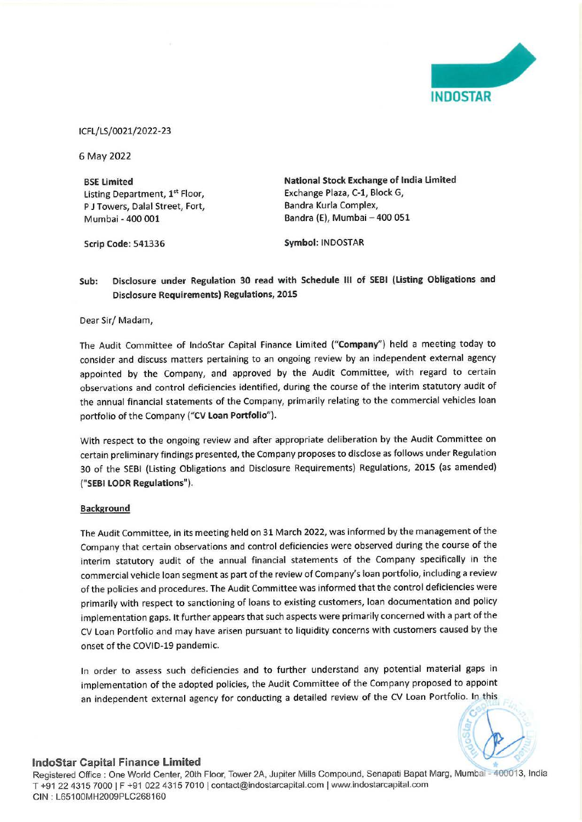

ICFL/LS/ 0021/2022-23

6 May 2022

**BSE Limited**  Listing Department, **l ' <sup>t</sup>**Floor, P J Towers, Dalal Street, Fort, Mumbai - 400 001

**Scrip Code:** 541336

**National Stock Exchange of India limited**  Exchange Plaza, C-1, Block G, Bandra Kurla Complex, Bandra (E), Mumbai - 400 051

**Symbol:** INDOSTAR

## **Sub: Disclosure under Regulation 30 read with Schedule Ill of SEBI {listing Obligations and Disclosure Requirements) Regulations, 2015**

Dear Sir/ Madam,

The Audit Committee of lndoStar Capital Finance Limited **("Company")** held a meeting today to consider and discuss matters pertaining to an ongoing review by an independent external agency appointed by the Company, and approved by the Audit Committee, with regard to certain observations and control deficiencies identified, during the course of the interim statutory audit of the annual financial statements of the Company, primarily relating to the commercial vehicles loan portfolio of the Company **("CV loan Portfolio").** 

With respect to the ongoing review and after appropriate deliberation by the Audit Committee on certain preliminary findings presented, the Company proposes to disclose as follows under Regulation 30 of the SEBI (Listing Obligations and Disclosure Requirements) Regulations, 2015 (as amended) **("SEBI LODR Regulations").** 

### **Background**

The Audit Committee, in its meeting held on 31 March 2022, was informed by the management of the Company that certain observations and control deficiencies were observed during the course of the interim statutory audit of the annual financial statements of the Company specifically in the commercial vehicle loan segment as part of the review of Company's loan portfolio, including a review of the policies and procedures. The Audit Committee was informed that the control deficiencies were primarily with respect to sanctioning of loans to existing customers, loan documentation and policy implementation gaps. It further appears that such aspects were primarily concerned with a part of the CV Loan Portfolio and may have arisen pursuant to liquidity concerns with customers caused by the onset of the COVID-19 pandemic.

In order to assess such deficiencies and to further understand any potential material gaps in implementation of the adopted policies, the Audit Committee of the Company proposed to appoint an independent external agency for conducting a detailed review of the CV Loan Portfolio. In this

# **lndoStar Capital Finance Limited**

Registered Office : One World Center, 20th Floor, Tower 2A, Jupiter Mills Compound, Senapati Bapat Marg, Mumbai - 400013, India T +91 22 4315 7000 IF +91 022 4315 7010 I contact@indostarcapital.com Iwww.indostarcapital.com CIN : L651 00MH2009PLC268160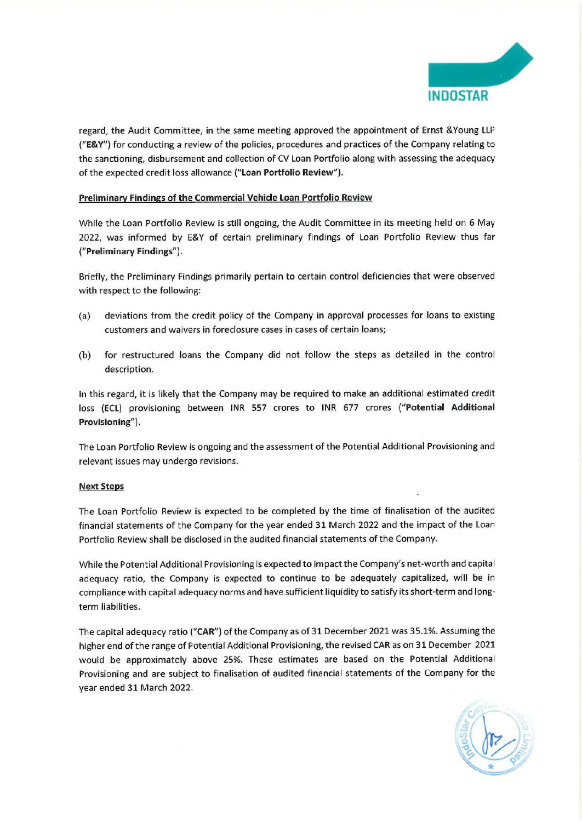

regard, the Audit Committee, in the same meeting approved the appointment of Ernst &Young LLP **("E& V")** for conducting a review of the policies, procedures and practices of the Company relating to the sanctioning, disbursement and collection of CV Loan Portfolio along with assessing the adequacy of the expected credit loss allowance **("Loan Portfolio Review").** 

### **Preliminary Findings of the Commercial Vehicle Loan Portfolio Review**

While the Loan Portfolio Review is still ongoing, the Audit Committee in its meeting held on 6 May 2022, was informed by E&Y of certain preliminary findings of Loan Portfolio Review thus far **("Preliminary Findings").** 

Briefly, the Preliminary Findings primarily pertain to certain control deficiencies that were observed with respect to the following:

- (a) deviations from the credit policy of the Company in approval processes for loans to existing customers and waivers in foreclosure cases in cases of certain loans;
- (b) for restructured loans the Company did not follow the steps as detailed in the control description.

In this regard, it is likely that the Company may be required to make an additional estimated credit loss (ECL) provisioning between INR 557 crores to INR 677 crores **("Potential Additional Provisioning").** 

The Loan Portfolio Review is ongoing and the assessment of the Potential Additional Provisioning and relevant issues may undergo revisions.

### **Next Steps**

The Loan Portfolio Review is expected to be completed by the time of finalisation of the audited financial statements of the Company for the year ended 31 March 2022 and the impact of the Loan Portfolio Review shall be disclosed in the audited financial statements of the Company.

While the Potential Additional Provisioning is expected to impact the Company's net-worth and capital adequacy ratio, the Company is expected to continue to be adequately capitalized, will be in compliance with capital adequacy norms and have sufficient liquidity to satisfy its short-term and longterm liabilities.

The capital adequacy ratio **("CAR")** of the Company as of 31 December 2021 was 35.1%. Assuming the higher end of the range of Potential Additional Provisioning, the revised CAR as on 31 December 2021 would be approximately above 25%. These estimates are based on the Potential Additional Provisioning and are subject to finalisation of audited financial statements of the Company for the year ended 31 March 2022.